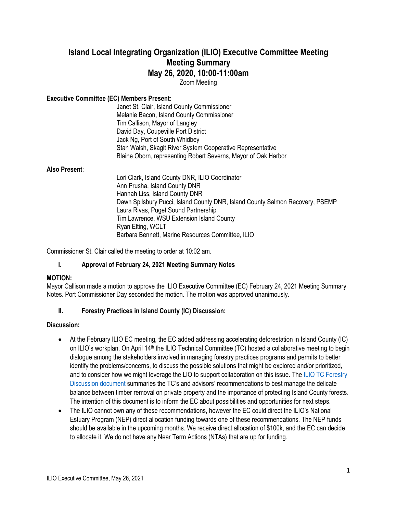# **Island Local Integrating Organization (ILIO) Executive Committee Meeting Meeting Summary May 26, 2020, 10:00-11:00am**

Zoom Meeting

## **Executive Committee (EC) Members Present**:

Janet St. Clair, Island County Commissioner Melanie Bacon, Island County Commissioner Tim Callison, Mayor of Langley David Day, Coupeville Port District Jack Ng, Port of South Whidbey Stan Walsh, Skagit River System Cooperative Representative Blaine Oborn, representing Robert Severns, Mayor of Oak Harbor

#### **Also Present**:

Lori Clark, Island County DNR, ILIO Coordinator Ann Prusha, Island County DNR Hannah Liss, Island County DNR Dawn Spilsbury Pucci, Island County DNR, Island County Salmon Recovery, PSEMP Laura Rivas, Puget Sound Partnership Tim Lawrence, WSU Extension Island County Ryan Elting, WCLT Barbara Bennett, Marine Resources Committee, ILIO

Commissioner St. Clair called the meeting to order at 10:02 am.

## **I. Approval of February 24, 2021 Meeting Summary Notes**

#### **MOTION:**

Mayor Callison made a motion to approve the ILIO Executive Committee (EC) February 24, 2021 Meeting Summary Notes. Port Commissioner Day seconded the motion. The motion was approved unanimously.

#### **II. Forestry Practices in Island County (IC) Discussion:**

#### **Discussion:**

- At the February ILIO EC meeting, the EC added addressing accelerating deforestation in Island County (IC) on ILIO's workplan. On April 14<sup>th</sup> the ILIO Technical Committee (TC) hosted a collaborative meeting to begin dialogue among the stakeholders involved in managing forestry practices programs and permits to better identify the problems/concerns, to discuss the possible solutions that might be explored and/or prioritized, and to consider how we might leverage the LIO to support collaboration on this issue. The ILIO TC Forestry [Discussion document](https://www.islandcountywa.gov/Health/DNR/ILIO/Minutes/ILIO%20TC%20Forestry%20Discussion_Final.pdf) summaries the TC's and advisors' recommendations to best manage the delicate balance between timber removal on private property and the importance of protecting Island County forests. The intention of this document is to inform the EC about possibilities and opportunities for next steps.
- The ILIO cannot own any of these recommendations, however the EC could direct the ILIO's National Estuary Program (NEP) direct allocation funding towards one of these recommendations. The NEP funds should be available in the upcoming months. We receive direct allocation of \$100k, and the EC can decide to allocate it. We do not have any Near Term Actions (NTAs) that are up for funding.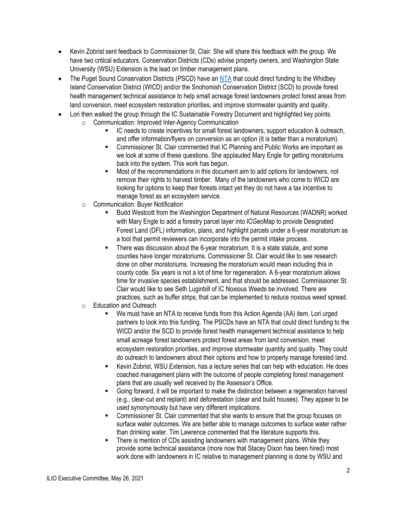- Kevin Zobrist sent feedback to Commissioner St. Clair. She will share this feedback with the group. We have two critical educators. Conservation Districts (CDs) advise property owners, and Washington State University (WSU) Extension is the lead on timber management plans.
- The Puget Sound Conservation Districts (PSCD) have an [NTA](https://actionagenda.pugetsoundinfo.wa.gov/Project/Detail/13234) that could direct funding to the Whidbey Island Conservation District (WICD) and/or the Snohomish Conservation District (SCD) to provide forest health management technical assistance to help small acreage forest landowners protect forest areas from land conversion, meet ecosystem restoration priorities, and improve stormwater quantity and quality.
- Lori then walked the group through the IC Sustainable Forestry Document and highlighted key points.
	- o Communication: Improved Inter-Agency Communication
		- IC needs to create incentives for small forest landowners, support education & outreach, and offer information/flyers on conversion as an option (it is better than a moratorium).
		- Commissioner St. Clair commented that IC Planning and Public Works are important as we look at some of these questions. She applauded Mary Engle for getting moratoriums back into the system. This work has begun.
		- Most of the recommendations in this document aim to add options for landowners, not remove their rights to harvest timber. Many of the landowners who come to WICD are looking for options to keep their forests intact yet they do not have a tax incentive to manage forest as an ecosystem service.
	- o Communication: Buyer Notification
		- Budd Westcott from the Washington Department of Natural Resources (WADNR) worked with Mary Engle to add a forestry parcel layer into ICGeoMap to provide Designated Forest Land (DFL) information, plans, and highlight parcels under a 6-year moratorium as a tool that permit reviewers can incorporate into the permit intake process.
		- There was discussion about the 6-year moratorium. It is a state statute, and some counties have longer moratoriums. Commissioner St. Clair would like to see research done on other moratoriums. Increasing the moratorium would mean including this in county code. Six years is not a lot of time for regeneration. A 6-year moratorium allows time for invasive species establishment, and that should be addressed. Commissioner St. Clair would like to see Seth Luginbill of IC Noxious Weeds be involved. There are practices, such as buffer strips, that can be implemented to reduce noxious weed spread.
	- o Education and Outreach
		- We must have an NTA to receive funds from this Action Agenda (AA) item. Lori urged partners to look into this funding. The PSCDs have an NTA that could direct funding to the WICD and/or the SCD to provide forest health management technical assistance to help small acreage forest landowners protect forest areas from land conversion, meet ecosystem restoration priorities, and improve stormwater quantity and quality. They could do outreach to landowners about their options and how to properly manage forested land.
		- Kevin Zobrist, WSU Extension, has a lecture series that can help with education. He does coached management plans with the outcome of people completing forest management plans that are usually well received by the Assessor's Office.
		- Going forward, it will be important to make the distinction between a regeneration harvest (e.g., clear-cut and replant) and deforestation (clear and build houses). They appear to be used synonymously but have very different implications.
		- Commissioner St. Clair commented that she wants to ensure that the group focuses on surface water outcomes. We are better able to manage outcomes to surface water rather than drinking water. Tim Lawrence commented that the literature supports this.
		- There is mention of CDs assisting landowners with management plans. While they provide some technical assistance (more now that Stacey Dixon has been hired) most work done with landowners in IC relative to management planning is done by WSU and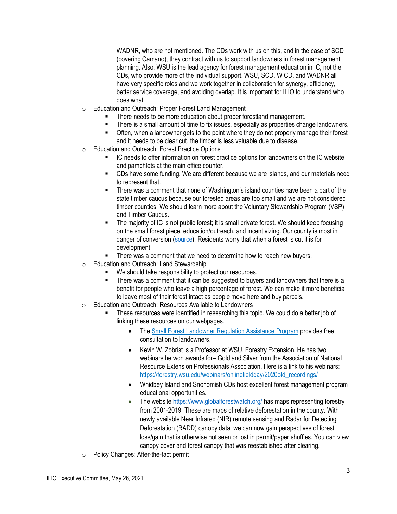WADNR, who are not mentioned. The CDs work with us on this, and in the case of SCD (covering Camano), they contract with us to support landowners in forest management planning. Also, WSU is the lead agency for forest management education in IC, not the CDs, who provide more of the individual support. WSU, SCD, WICD, and WADNR all have very specific roles and we work together in collaboration for synergy, efficiency, better service coverage, and avoiding overlap. It is important for ILIO to understand who does what.

- o Education and Outreach: Proper Forest Land Management
	- There needs to be more education about proper forestland management.
	- There is a small amount of time to fix issues, especially as properties change landowners.
	- Often, when a landowner gets to the point where they do not properly manage their forest and it needs to be clear cut, the timber is less valuable due to disease.
- o Education and Outreach: Forest Practice Options
	- IC needs to offer information on forest practice options for landowners on the IC website and pamphlets at the main office counter.
	- CDs have some funding. We are different because we are islands, and our materials need to represent that.
	- There was a comment that none of Washington's island counties have been a part of the state timber caucus because our forested areas are too small and we are not considered timber counties. We should learn more about the Voluntary Stewardship Program (VSP) and Timber Caucus.
	- The majority of IC is not public forest; it is small private forest. We should keep focusing on the small forest piece, education/outreach, and incentivizing. Our county is most in danger of conversion [\(source\)](https://www.washington.edu/news/2009/03/30/state-may-have-brief-window-to-slow-loss-of-working-forests-to-development/). Residents worry that when a forest is cut it is for development.
	- There was a comment that we need to determine how to reach new buyers.
- o Education and Outreach: Land Stewardship
	- We should take responsibility to protect our resources.
	- There was a comment that it can be suggested to buyers and landowners that there is a benefit for people who leave a high percentage of forest. We can make it more beneficial to leave most of their forest intact as people move here and buy parcels.
- o Education and Outreach: Resources Available to Landowners
	- These resources were identified in researching this topic. We could do a better job of linking these resources on our webpages.
		- The [Small Forest Landowner Regulation Assistance Program](https://www.dnr.wa.gov/programs-and-services/forest-practices/small-forest-landowners/technical-assistance-landowners#:~:text=Any%20landowner%20that%20harvests%20fewer,and%20covers%20all%20of%20Washington.) provides free consultation to landowners.
		- Kevin W. Zobrist is a Professor at WSU, Forestry Extension. He has two webinars he won awards for– Gold and Silver from the Association of National Resource Extension Professionals Association. Here is a link to his webinars: [https://forestry.wsu.edu/webinars/onlinefieldday/2020ofd\\_recordings/](https://forestry.wsu.edu/webinars/onlinefieldday/2020ofd_recordings/)
		- Whidbey Island and Snohomish CDs host excellent forest management program educational opportunities.
		- The website<https://www.globalforestwatch.org/> has maps representing forestry from 2001-2019. These are maps of relative deforestation in the county. With newly available Near Infrared (NIR) remote sensing and Radar for Detecting Deforestation (RADD) canopy data, we can now gain perspectives of forest loss/gain that is otherwise not seen or lost in permit/paper shuffles. You can view canopy cover and forest canopy that was reestablished after clearing.
- o Policy Changes: After-the-fact permit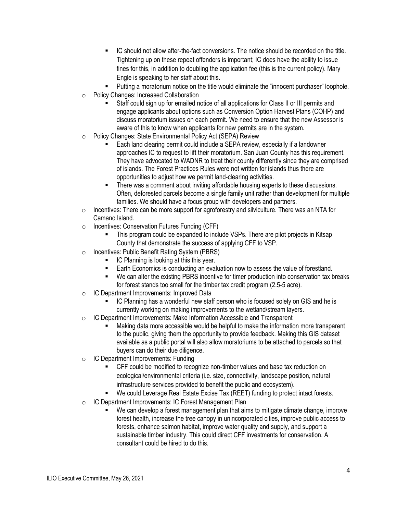- IC should not allow after-the-fact conversions. The notice should be recorded on the title. Tightening up on these repeat offenders is important; IC does have the ability to issue fines for this, in addition to doubling the application fee (this is the current policy). Mary Engle is speaking to her staff about this.
- Putting a moratorium notice on the title would eliminate the "innocent purchaser" loophole.
- o Policy Changes: Increased Collaboration
	- Staff could sign up for emailed notice of all applications for Class II or III permits and engage applicants about options such as Conversion Option Harvest Plans (COHP) and discuss moratorium issues on each permit. We need to ensure that the new Assessor is aware of this to know when applicants for new permits are in the system.
- o Policy Changes: State Environmental Policy Act (SEPA) Review
	- Each land clearing permit could include a SEPA review, especially if a landowner approaches IC to request to lift their moratorium. San Juan County has this requirement. They have advocated to WADNR to treat their county differently since they are comprised of islands. The Forest Practices Rules were not written for islands thus there are opportunities to adjust how we permit land-clearing activities.
	- There was a comment about inviting affordable housing experts to these discussions. Often, deforested parcels become a single family unit rather than development for multiple families. We should have a focus group with developers and partners.
- $\circ$  Incentives: There can be more support for agroforestry and silviculture. There was an NTA for Camano Island.
- o Incentives: Conservation Futures Funding (CFF)
	- This program could be expanded to include VSPs. There are pilot projects in Kitsap County that demonstrate the success of applying CFF to VSP.
- o Incentives: Public Benefit Rating System (PBRS)
	- IC Planning is looking at this this year.
	- Earth Economics is conducting an evaluation now to assess the value of forestland.
	- We can alter the existing PBRS incentive for timer production into conservation tax breaks for forest stands too small for the timber tax credit program (2.5-5 acre).
- o IC Department Improvements: Improved Data
	- IC Planning has a wonderful new staff person who is focused solely on GIS and he is currently working on making improvements to the wetland/stream layers.
- o IC Department Improvements: Make Information Accessible and Transparent
	- Making data more accessible would be helpful to make the information more transparent to the public, giving them the opportunity to provide feedback. Making this GIS dataset available as a public portal will also allow moratoriums to be attached to parcels so that buyers can do their due diligence.
- o IC Department Improvements: Funding
	- CFF could be modified to recognize non-timber values and base tax reduction on ecological/environmental criteria (i.e. size, connectivity, landscape position, natural infrastructure services provided to benefit the public and ecosystem).
	- We could Leverage Real Estate Excise Tax (REET) funding to protect intact forests.
- o IC Department Improvements: IC Forest Management Plan
	- We can develop a forest management plan that aims to mitigate climate change, improve forest health, increase the tree canopy in unincorporated cities, improve public access to forests, enhance salmon habitat, improve water quality and supply, and support a sustainable timber industry. This could direct CFF investments for conservation. A consultant could be hired to do this.